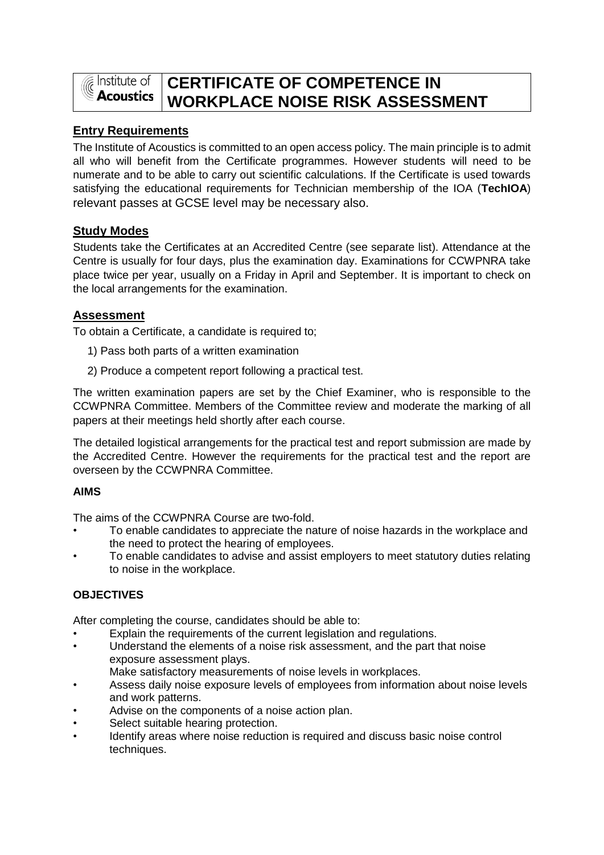

# **CERTIFICATE OF COMPETENCE IN WORKPLACE NOISE RISK ASSESSMENT**

# **Entry Requirements**

The Institute of Acoustics is committed to an open access policy. The main principle is to admit all who will benefit from the Certificate programmes. However students will need to be numerate and to be able to carry out scientific calculations. If the Certificate is used towards satisfying the educational requirements for Technician membership of the IOA (**TechIOA**) relevant passes at GCSE level may be necessary also.

# **Study Modes**

Students take the Certificates at an Accredited Centre (see separate list). Attendance at the Centre is usually for four days, plus the examination day. Examinations for CCWPNRA take place twice per year, usually on a Friday in April and September. It is important to check on the local arrangements for the examination.

# **Assessment**

To obtain a Certificate, a candidate is required to;

- 1) Pass both parts of a written examination
- 2) Produce a competent report following a practical test.

The written examination papers are set by the Chief Examiner, who is responsible to the CCWPNRA Committee. Members of the Committee review and moderate the marking of all papers at their meetings held shortly after each course.

The detailed logistical arrangements for the practical test and report submission are made by the Accredited Centre. However the requirements for the practical test and the report are overseen by the CCWPNRA Committee.

# **AIMS**

The aims of the CCWPNRA Course are two-fold.

- To enable candidates to appreciate the nature of noise hazards in the workplace and the need to protect the hearing of employees.
- To enable candidates to advise and assist employers to meet statutory duties relating to noise in the workplace.

# **OBJECTIVES**

After completing the course, candidates should be able to:

- Explain the requirements of the current legislation and regulations.
- Understand the elements of a noise risk assessment, and the part that noise exposure assessment plays.
- Make satisfactory measurements of noise levels in workplaces.
- Assess daily noise exposure levels of employees from information about noise levels and work patterns.
- Advise on the components of a noise action plan.
- Select suitable hearing protection.
- Identify areas where noise reduction is required and discuss basic noise control techniques.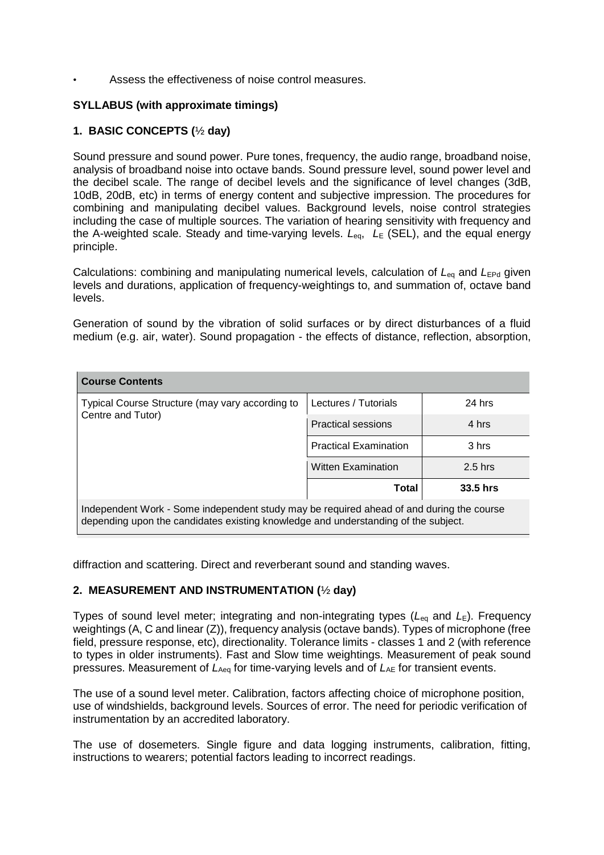Assess the effectiveness of noise control measures.

## **SYLLABUS (with approximate timings)**

## **1. BASIC CONCEPTS (**½ **day)**

Sound pressure and sound power. Pure tones, frequency, the audio range, broadband noise, analysis of broadband noise into octave bands. Sound pressure level, sound power level and the decibel scale. The range of decibel levels and the significance of level changes (3dB, 10dB, 20dB, etc) in terms of energy content and subjective impression. The procedures for combining and manipulating decibel values. Background levels, noise control strategies including the case of multiple sources. The variation of hearing sensitivity with frequency and the A-weighted scale. Steady and time-varying levels.  $L_{eq}$ ,  $L_{E}$  (SEL), and the equal energy principle.

Calculations: combining and manipulating numerical levels, calculation of L<sub>eq</sub> and L<sub>EPd</sub> given levels and durations, application of frequency-weightings to, and summation of, octave band levels.

Generation of sound by the vibration of solid surfaces or by direct disturbances of a fluid medium (e.g. air, water). Sound propagation - the effects of distance, reflection, absorption,

| <b>Course Contents</b>                                                                                                                                                         |                              |           |  |  |  |
|--------------------------------------------------------------------------------------------------------------------------------------------------------------------------------|------------------------------|-----------|--|--|--|
| Typical Course Structure (may vary according to<br>Centre and Tutor)                                                                                                           | Lectures / Tutorials         | 24 hrs    |  |  |  |
|                                                                                                                                                                                | <b>Practical sessions</b>    | 4 hrs     |  |  |  |
|                                                                                                                                                                                | <b>Practical Examination</b> | 3 hrs     |  |  |  |
|                                                                                                                                                                                | <b>Witten Examination</b>    | $2.5$ hrs |  |  |  |
|                                                                                                                                                                                | Total                        | 33.5 hrs  |  |  |  |
| Independent Work - Some independent study may be required ahead of and during the course<br>depending upon the candidates existing knowledge and understanding of the subject. |                              |           |  |  |  |

diffraction and scattering. Direct and reverberant sound and standing waves.

#### **2. MEASUREMENT AND INSTRUMENTATION (**½ **day)**

Types of sound level meter; integrating and non-integrating types  $(L_{eq} \text{ and } L_{E})$ . Frequency weightings (A, C and linear (Z)), frequency analysis (octave bands). Types of microphone (free field, pressure response, etc), directionality. Tolerance limits - classes 1 and 2 (with reference to types in older instruments). Fast and Slow time weightings. Measurement of peak sound pressures. Measurement of *L*Aeq for time-varying levels and of *L*AE for transient events.

The use of a sound level meter. Calibration, factors affecting choice of microphone position, use of windshields, background levels. Sources of error. The need for periodic verification of instrumentation by an accredited laboratory.

The use of dosemeters. Single figure and data logging instruments, calibration, fitting, instructions to wearers; potential factors leading to incorrect readings.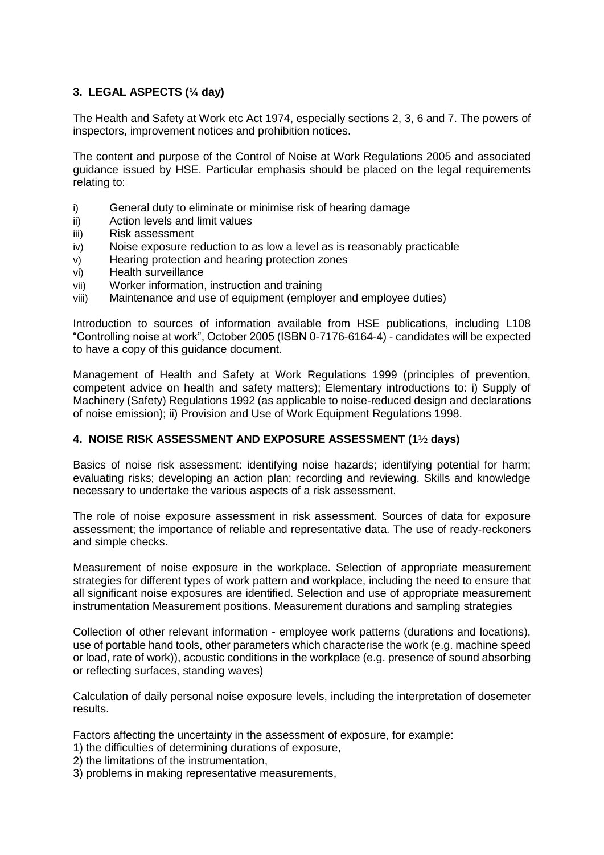# **3. LEGAL ASPECTS (¼ day)**

The Health and Safety at Work etc Act 1974, especially sections 2, 3, 6 and 7. The powers of inspectors, improvement notices and prohibition notices.

The content and purpose of the Control of Noise at Work Regulations 2005 and associated guidance issued by HSE. Particular emphasis should be placed on the legal requirements relating to:

- i) General duty to eliminate or minimise risk of hearing damage
- ii) Action levels and limit values
- iii) Risk assessment
- iv) Noise exposure reduction to as low a level as is reasonably practicable
- v) Hearing protection and hearing protection zones
- vi) Health surveillance
- vii) Worker information, instruction and training
- viii) Maintenance and use of equipment (employer and employee duties)

Introduction to sources of information available from HSE publications, including L108 "Controlling noise at work", October 2005 (ISBN 0-7176-6164-4) - candidates will be expected to have a copy of this guidance document.

Management of Health and Safety at Work Regulations 1999 (principles of prevention, competent advice on health and safety matters); Elementary introductions to: i) Supply of Machinery (Safety) Regulations 1992 (as applicable to noise-reduced design and declarations of noise emission); ii) Provision and Use of Work Equipment Regulations 1998.

#### **4. NOISE RISK ASSESSMENT AND EXPOSURE ASSESSMENT (1**½ **days)**

Basics of noise risk assessment: identifying noise hazards; identifying potential for harm; evaluating risks; developing an action plan; recording and reviewing. Skills and knowledge necessary to undertake the various aspects of a risk assessment.

The role of noise exposure assessment in risk assessment. Sources of data for exposure assessment; the importance of reliable and representative data. The use of ready-reckoners and simple checks.

Measurement of noise exposure in the workplace. Selection of appropriate measurement strategies for different types of work pattern and workplace, including the need to ensure that all significant noise exposures are identified. Selection and use of appropriate measurement instrumentation Measurement positions. Measurement durations and sampling strategies

Collection of other relevant information - employee work patterns (durations and locations), use of portable hand tools, other parameters which characterise the work (e.g. machine speed or load, rate of work)), acoustic conditions in the workplace (e.g. presence of sound absorbing or reflecting surfaces, standing waves)

Calculation of daily personal noise exposure levels, including the interpretation of dosemeter results.

Factors affecting the uncertainty in the assessment of exposure, for example:

- 1) the difficulties of determining durations of exposure,
- 2) the limitations of the instrumentation,
- 3) problems in making representative measurements,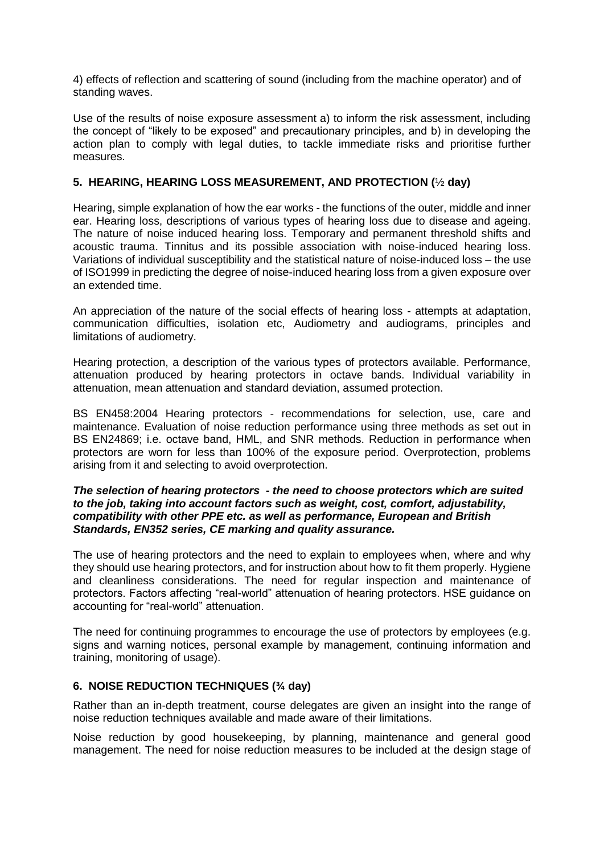4) effects of reflection and scattering of sound (including from the machine operator) and of standing waves.

Use of the results of noise exposure assessment a) to inform the risk assessment, including the concept of "likely to be exposed" and precautionary principles, and b) in developing the action plan to comply with legal duties, to tackle immediate risks and prioritise further measures.

#### **5. HEARING, HEARING LOSS MEASUREMENT, AND PROTECTION (**½ **day)**

Hearing, simple explanation of how the ear works - the functions of the outer, middle and inner ear. Hearing loss, descriptions of various types of hearing loss due to disease and ageing. The nature of noise induced hearing loss. Temporary and permanent threshold shifts and acoustic trauma. Tinnitus and its possible association with noise-induced hearing loss. Variations of individual susceptibility and the statistical nature of noise-induced loss – the use of ISO1999 in predicting the degree of noise-induced hearing loss from a given exposure over an extended time.

An appreciation of the nature of the social effects of hearing loss - attempts at adaptation, communication difficulties, isolation etc, Audiometry and audiograms, principles and limitations of audiometry.

Hearing protection, a description of the various types of protectors available. Performance, attenuation produced by hearing protectors in octave bands. Individual variability in attenuation, mean attenuation and standard deviation, assumed protection.

BS EN458:2004 Hearing protectors - recommendations for selection, use, care and maintenance. Evaluation of noise reduction performance using three methods as set out in BS EN24869; i.e. octave band, HML, and SNR methods. Reduction in performance when protectors are worn for less than 100% of the exposure period. Overprotection, problems arising from it and selecting to avoid overprotection.

#### *The selection of hearing protectors - the need to choose protectors which are suited to the job, taking into account factors such as weight, cost, comfort, adjustability, compatibility with other PPE etc. as well as performance, European and British Standards, EN352 series, CE marking and quality assurance.*

The use of hearing protectors and the need to explain to employees when, where and why they should use hearing protectors, and for instruction about how to fit them properly. Hygiene and cleanliness considerations. The need for regular inspection and maintenance of protectors. Factors affecting "real-world" attenuation of hearing protectors. HSE guidance on accounting for "real-world" attenuation.

The need for continuing programmes to encourage the use of protectors by employees (e.g. signs and warning notices, personal example by management, continuing information and training, monitoring of usage).

#### **6. NOISE REDUCTION TECHNIQUES (¾ day)**

Rather than an in-depth treatment, course delegates are given an insight into the range of noise reduction techniques available and made aware of their limitations.

Noise reduction by good housekeeping, by planning, maintenance and general good management. The need for noise reduction measures to be included at the design stage of